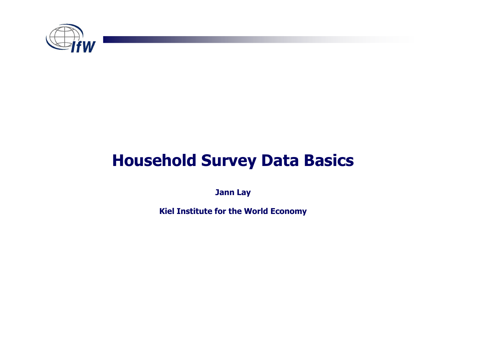

## Household Survey Data Basics

Jann Lay

Kiel Institute for the World Economy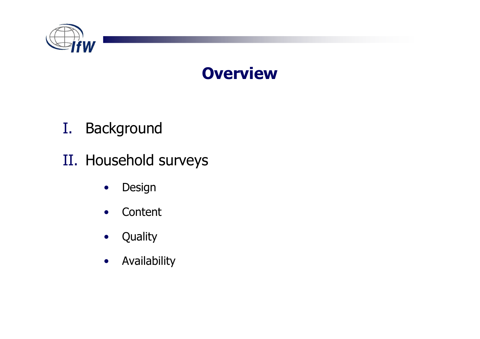

## **Overview**

- I.**Background**
- II. Household surveys
	- •Design
	- $\bullet$ **Content**
	- •**Quality**
	- $\bullet$ Availability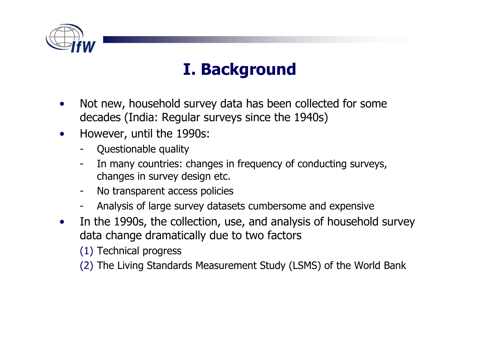

# I. Background

- • Not new, household survey data has been collected for some decades (India: Regular surveys since the 1940s)
- $\bullet$  However, until the 1990s:
	- -Questionable quality
	- - In many countries: changes in frequency of conducting surveys, changes in survey design etc.<br>No transparent access policies
	- No transparent access policies
	- -Analysis of large survey datasets cumbersome and expensive
- $\bullet$  In the 1990s, the collection, use, and analysis of household survey data change dramatically due to two factors

(1) Technical progress

(2) The Living Standards Measurement Study (LSMS) of the World Bank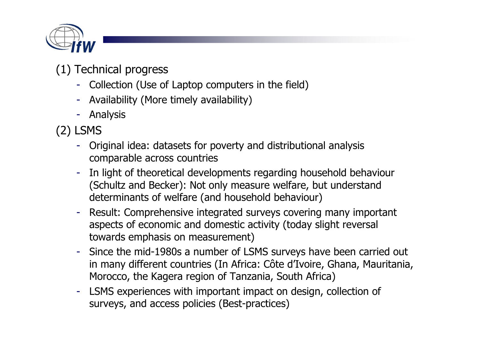

#### (1) Technical progress

- Collection (Use of Laptop computers in the field)
- Availability (More timely availability)
- Analysis

(2) LSMS

- - Original idea: datasets for poverty and distributional analysis comparable across countries
- - In light of theoretical developments regarding household behaviour (Schultz and Becker): Not only measure welfare, but understand determinants of welfare (and household behaviour)
- - Result: Comprehensive integrated surveys covering many important aspects of economic and domestic activity (today slight reversaltowards emphasis on measurement)
- - Since the mid-1980s a number of LSMS surveys have been carried out in many different countries (In Africa: Côte d'Ivoire, Ghana, Mauritania, Morocco, the Kagera region of Tanzania, South Africa)
- - LSMS experiences with important impact on design, collection of surveys, and access policies (Best-practices)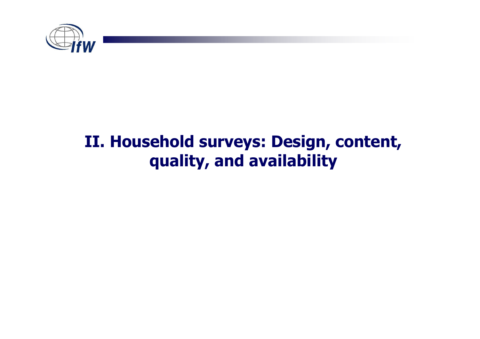

## II. Household surveys: Design, content, quality, and availability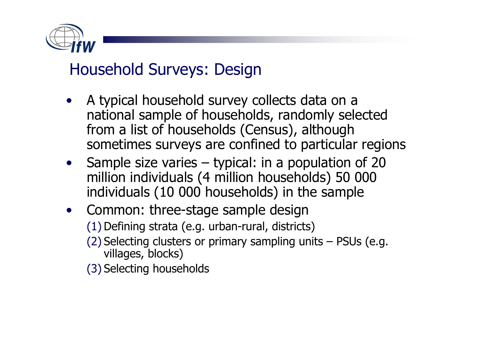

## Household Surveys: Design

- A typical household survey collects data on a national sample of households, randomly selected from a list of households (Census), although sometimes surveys are confined to particular regions
- Sample size varies typical: in a population of 20<br>• million individuals (4 million households) 50 000 million individuals (4 million households) 50 000 individuals (10 000 households) in the sample
- Common: three-stage sample design (1) Defining strata (e.g. urban-rural, districts)
	- (2) Selecting clusters or primary sampling units PSUs (e.g.<br>villages, blocks) villages, blocks)
	- (3) Selecting households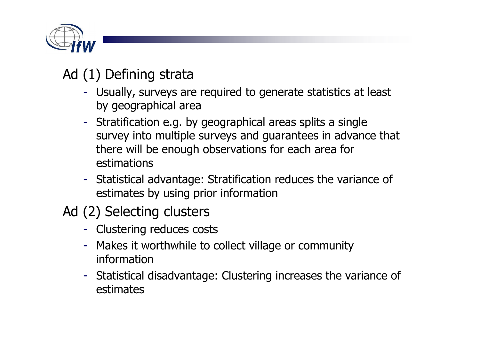

### Ad (1) Defining strata

- Usually, surveys are required to generate statistics at least by geographical area
- Stratification e.g. by geographical areas splits a single survey into multiple surveys and guarantees in advance that there will be enough observations for each area forestimations
- Statistical advantage: Stratification reduces the variance of estimates by using prior information
- Ad (2) Selecting clusters
	- Clustering reduces costs
	- Makes it worthwhile to collect village or communityinformation
	- Statistical disadvantage: Clustering increases the variance of estimates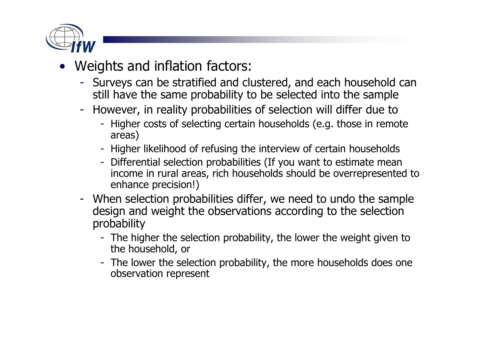

- • Weights and inflation factors:
	- Surveys can be stratified and clustered, and each household can still have the same probability to be selected into the sample
	- However, in reality probabilities of selection will differ due to -
		- Higher costs of selecting certain households (e.g. those in remote areas)
		- Higher likelihood of refusing the interview of certain households
		- Differential selection probabilities (If you want to estimate mean income in rural areas, rich households should be overrepresented to enhance precision!)
	- When selection probabilities differ, we need to undo the sample design and weight the observations according to the selection probability
		- The higher the selection probability, the lower the weight given to the household, or the household, or
		- The lower the selection probability, the more households does one observation represent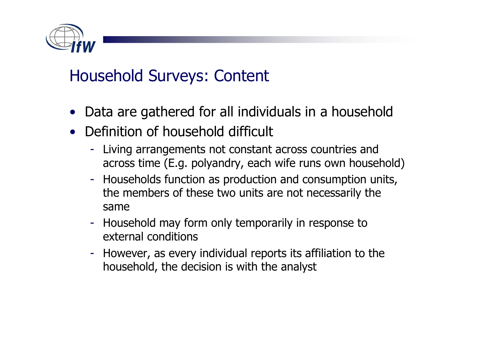

## Household Surveys: Content

- Data are gathered for all individuals in a household
- • Definition of household difficult
	- Living arrangements not constant across countries and across time (E.g. polyandry, each wife runs own household)
	- Households function as production and consumption units, the members of these two units are not necessarily the same
	- Household may form only temporarily in response to external conditions
	- - However, as every individual reports its affiliation to the household, the decision is with the analyst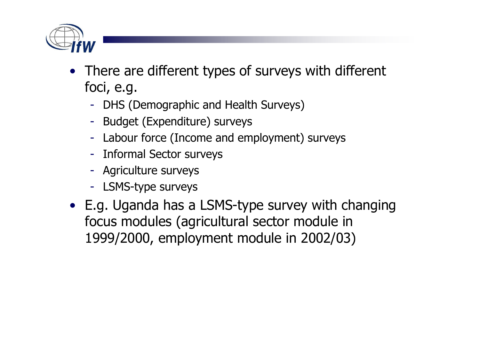

- There are different types of surveys with different focing a foci, e.g.
	- DHS (Demographic and Health Surveys)<br>Rudset (Evropditure) surveys
	- Budget (Expenditure) surveys
	- Labour force (Income and employment) surveys
	- Informal Sector surveys
	- Agriculture surveys
	- LSMS-type surveys
- E.g. Uganda has a LSMS-type survey with changing focus modules (agricultural sector module in 1999/2000, employment module in 2002/03)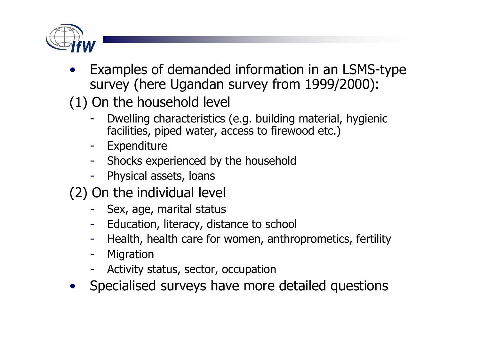

- • Examples of demanded information in an LSMS-type survey (here Ugandan survey from 1999/2000):
- (1) On the household level
	- Dwelling characteristics (e.g. building material, hygienic facilities, piped water, access to firewood etc.)
	- Expenditure
	- Shocks experienced by the household
	- Physical assets, loans
- $(2)$  On the individual level
	- Sex, age, marital status
	- Education, literacy, distance to school
	- Health, health care for women, anthroprometics, fertility
	- Migration
	- Activity status, sector, occupation<br>Cnosialised surveys have more
- $\bullet$ Specialised surveys have more detailed questions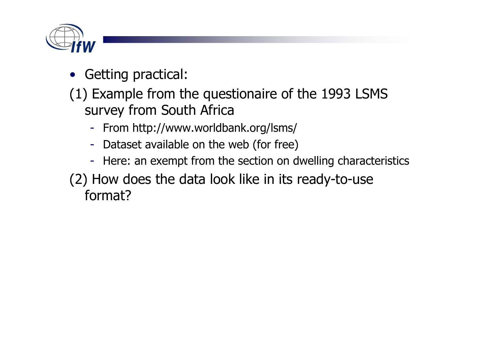

- Getting practical:
- (1) Example from the questionaire of the 1993 LSMS survey from South Africa
	- From http://www.worldbank.org/lsms/
	- -Dataset available on the web (for free)
	- Here: an exempt from the section on dwelling characteristics
- (2) How does the data look like in its ready-to-useformat?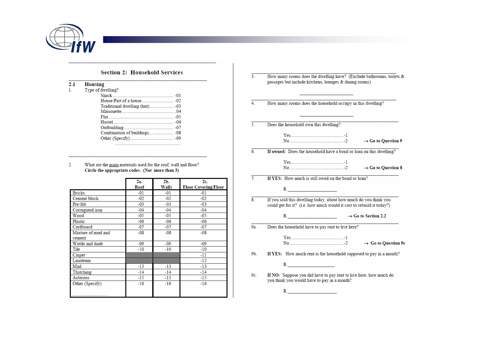

#### **Section 2: Household Services**

- Housing  $2.1$
- Type of dwelling?  $1.$

| : or awelling : |  |
|-----------------|--|
| Shack 01        |  |
|                 |  |
|                 |  |
|                 |  |
|                 |  |
|                 |  |
|                 |  |
|                 |  |
|                 |  |
|                 |  |

What are the main materials used for the roof, wall and floor? 2. Circle the appropriate codes. (Not more than 3)

|                    | 2a.   | 2b.   | 2c.                  |
|--------------------|-------|-------|----------------------|
|                    | Roof  | Walls | Floor Covering/Floor |
| <b>Bricks</b>      | -01   | $-01$ | -01                  |
| Cement block       | -02   | $-02$ | -02                  |
| Pre-fab            | $-03$ | $-03$ | $-03$                |
| Corrugated iron    | $-04$ | $-04$ | $-04$                |
| Wood               | -05   | -05   | -05                  |
| Plastic            | -06   | -06   | -06                  |
| Cardboard          | $-07$ | $-07$ | $-07$                |
| Mixture of mud and | -08   | $-08$ | $-08$                |
| cement             |       |       |                      |
| Wattle and daub    | -09   | $-09$ | -09                  |
| Tile               | $-10$ | $-10$ | -10                  |
| Carpet             |       |       | $-11$                |
| Linoleum           |       |       | -12                  |
| Mud                | $-13$ | $-13$ | $-13$                |
| Thatching          | -14   | $-14$ | $-14$                |
| Asbestos           | $-15$ | -15   | $-15$                |
| Other (Specify)    | $-16$ | $-16$ | $-16$                |
|                    |       |       |                      |
|                    |       |       |                      |

- $\overline{3}$ How many rooms does the dwelling have? (Exclude bathrooms, toilets & passages but include kitchens, lounges & dining rooms)
- $\overline{4}$ . How many rooms does the household occupy in this dwelling?
- $\overline{5}$ . Does the household own this dwelling?
	- $\rightarrow$  Go to Question 9
- If owned: Does the household have a bond or loan on this dwelling? 6.
	- $\rightarrow$  Go to Question 8
- If YES: How much is still owed on the bond or loan?  $\overline{7}$ .
	- $R \sim 1$
- $\overline{8}$ . If you sold this dwelling today, about how much do you think you could get for it? (i.e. how much would it cost to rebuild it today?)
	-
- 9a. Does the household have to pay rent to live here?

 $\rightarrow$  Go to Question 9c

- If YES: How much rent is the household supposed to pay in a month? 9b.
- If NO: Suppose you did have to pay rent to live here, how much do 9c. you think you would have to pay in a month?

 $R_{\perp}$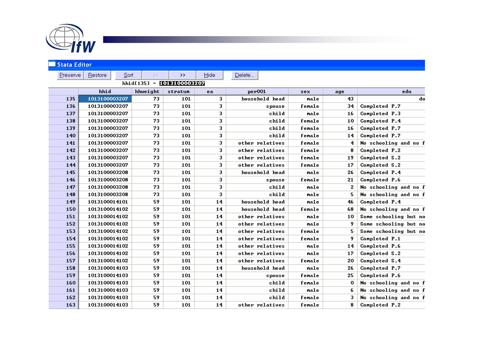

| <b>Stata Editor</b>       |               |             |         |      |                    |        |     |                       |  |  |
|---------------------------|---------------|-------------|---------|------|--------------------|--------|-----|-----------------------|--|--|
| Preserve                  | Restore       | Sort<br>KK. | >>      | Hide | Delete             |        |     |                       |  |  |
| hhid[135] = 1013100003207 |               |             |         |      |                    |        |     |                       |  |  |
|                           | hhid          | hhweight    | stratum | ea   | per <sub>001</sub> | sex    | age | edu                   |  |  |
| 135                       | 1013100003207 | 73          | 101     | 3    | household head     | male   | 43  | do                    |  |  |
| 136                       | 1013100003207 | 73          | 101     | 3    | spouse             | female | 34  | Completed P.7         |  |  |
| 137                       | 1013100003207 | 73          | 101     | 3    | child              | male   | 16  | Completed P.3         |  |  |
| 138                       | 1013100003207 | 73          | 101     | 3    | child              | female | 10  | Completed P.4         |  |  |
| 139                       | 1013100003207 | 73          | 101     | 3    | child              | female | 16  | Completed P.7         |  |  |
| 140                       | 1013100003207 | 73          | 101     | 3    | child              | female | 14  | Completed P.7         |  |  |
| 141                       | 1013100003207 | 73          | 101     | 3    | other relatives    | female | 4   | No schooling and no f |  |  |
| 142                       | 1013100003207 | 73          | 101     | 3    | other relatives    | female | 8   | Completed P.2         |  |  |
| 143                       | 1013100003207 | 73          | 101     | 3    | other relatives    | female | 19  | Completed S.2         |  |  |
| 144                       | 1013100003207 | 73          | 101     | 3    | other relatives    | female | 17  | Completed S.2         |  |  |
| 145                       | 1013100003208 | 73          | 101     | 3    | household head     | male   | 26  | Completed P.4         |  |  |
| 146                       | 1013100003208 | 73          | 101     | 3    | spouse             | female | 21  | Completed P.6         |  |  |
| 147                       | 1013100003208 | 73          | 101     | 3    | child              | male   | 2   | No schooling and no f |  |  |
| 148                       | 1013100003208 | 73          | 101     | 3    | child              | male   | 5.  | No schooling and no f |  |  |
| 149                       | 1013100014101 | 59          | 101     | 14   | household head     | male   | 46  | Completed P.4         |  |  |
| 150                       | 1013100014102 | 59          | 101     | 14   | household head     | female | 68  | No schooling and no f |  |  |
| 151                       | 1013100014102 | 59          | 101     | 14   | other relatives    | male   | 10  | Some schooling but no |  |  |
| 152                       | 1013100014102 | 59          | 101     | 14   | other relatives    | male   | 9   | Some schooling but no |  |  |
| 153                       | 1013100014102 | 59          | 101     | 14   | other relatives    | female | 5.  | Some schooling but no |  |  |
| 154                       | 1013100014102 | 59          | 101     | 14   | other relatives    | female | 9   | Completed P.1         |  |  |
| 155                       | 1013100014102 | 59          | 101     | 14   | other relatives    | male   | 14  | Completed P.6         |  |  |
| 156                       | 1013100014102 | 59          | 101     | 14   | other relatives    | male   | 17  | Completed S.2         |  |  |
| 157                       | 1013100014102 | 59          | 101     | 14   | other relatives    | female | 20  | Completed S.4         |  |  |
| 158                       | 1013100014103 | 59          | 101     | 14   | household head     | male   | 26  | Completed P.7         |  |  |
| 159                       | 1013100014103 | 59          | 101     | 14   | spouse             | female | 25  | Completed P.6         |  |  |
| 160                       | 1013100014103 | 59          | 101     | 14   | child              | female | 0   | No schooling and no f |  |  |
| 161                       | 1013100014103 | 59          | 101     | 14   | child              | male   | 6   | No schooling and no f |  |  |
| 162                       | 1013100014103 | 59          | 101     | 14   | child              | female | 3   | No schooling and no f |  |  |
| 163                       | 1013100014103 | 59          | 101     | 14   | other relatives    | female | 8   | Completed P.2         |  |  |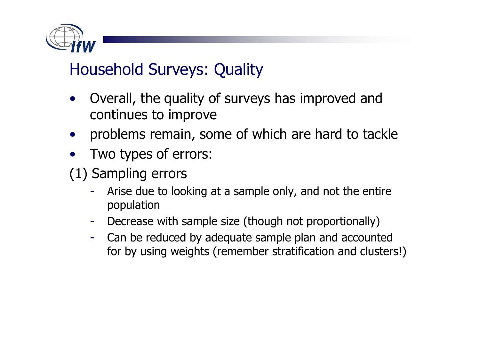

## Household Surveys: Quality

- • Overall, the quality of surveys has improved and continues to improve
- •problems remain, some of which are hard to tackle
- •Two types of errors:
- (1) Sampling errors
	- Arise due to looking at a sample only, and not the entire population
	- Decrease with sample size (though not proportionally)
	- Can be reduced by adequate sample plan and accounted for by using weights (remember stratification and clusters!)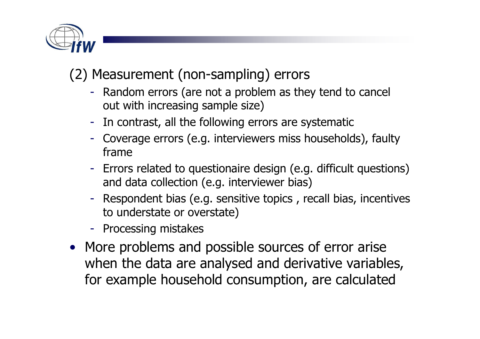

## (2) Measurement (non-sampling) errors

- Random errors (are not a problem as they tend to cancel out with increasing sample size)
- In contrast, all the following errors are systematic
- Coverage errors (e.g. interviewers miss households), faulty frame
- Errors related to questionaire design (e.g. difficult questions)<br>and data collection (e.g. interviewer hias) and data collection (e.g. interviewer bias)
- Respondent bias (e.g. sensitive topics , recall bias, incentivesto understate or overstate)
- Processing mistakes
- More problems and possible sources of error arise when the data are analysed and derivative variables, for example household consumption, are calculated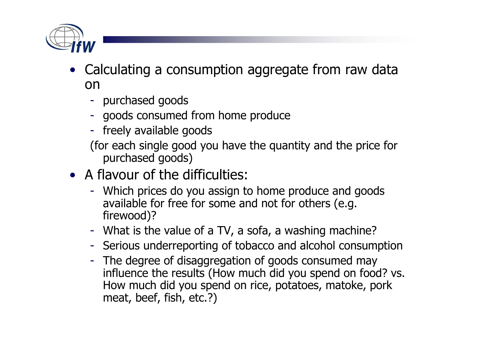

- Calculating a consumption aggregate from raw data on
	- purchased goods
	- goods consumed from home produce
	- freely available goods
	- (for each single good you have the quantity and the price for purchased goods)
- A flavour of the difficulties:
	- Which prices do you assign to home produce and goods available for free for some and not for others (e.g. firewood)?
	- What is the value of a TV, a sofa, a washing machine?
	- Serious underreporting of tobacco and alcohol consumption
	- The degree of disaggregation of goods consumed may influence the results (How much did you spend on food? vs. How much did you spend on rice, potatoes, matoke, pork meat, beef, fish, etc.?)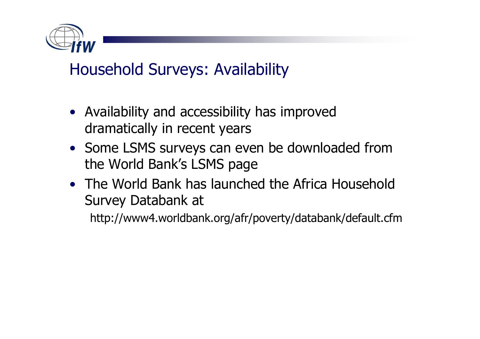

## Household Surveys: Availability

- Availability and accessibility has improved dramatically in recent years
- Some LSMS surveys can even be downloaded from the World Bank's LSMS page
- The World Bank has launched the Africa Household Survey Databank at

http://www4.worldbank.org/afr/poverty/databank/default.cfm